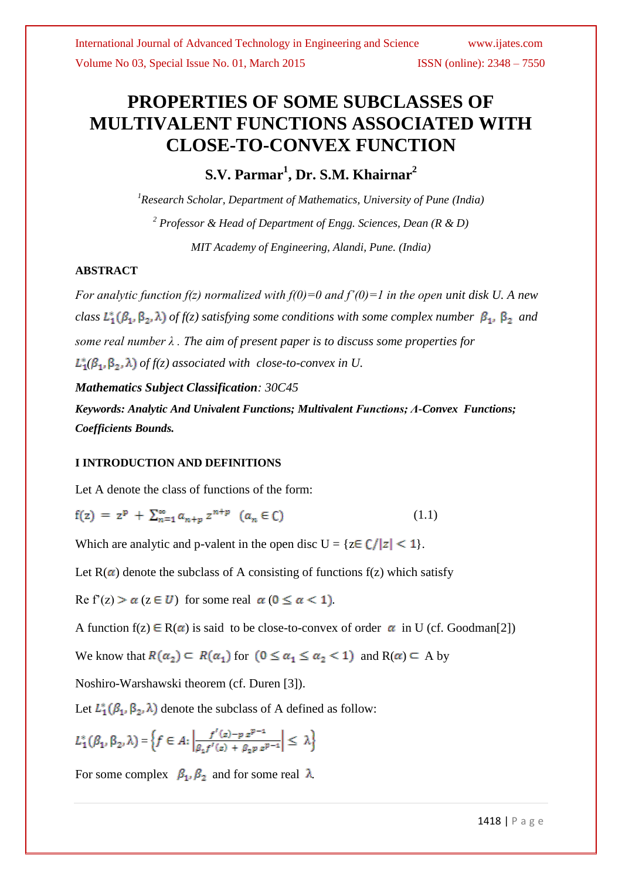# **PROPERTIES OF SOME SUBCLASSES OF MULTIVALENT FUNCTIONS ASSOCIATED WITH CLOSE-TO-CONVEX FUNCTION**

**S.V. Parmar<sup>1</sup> , Dr. S.M. Khairnar<sup>2</sup>**

*<sup>1</sup>Research Scholar, Department of Mathematics, University of Pune (India) <sup>2</sup> Professor & Head of Department of Engg. Sciences, Dean (R & D) MIT Academy of Engineering, Alandi, Pune. (India)*

## **ABSTRACT**

*For analytic function f(z) normalized with f(0)=0 and f'(0)=1 in the open unit disk U. A new class*  $L_1^*(\beta_1, \beta_2, \lambda)$  *of f(z) satisfying some conditions with some complex number*  $\beta_1$ ,  $\beta_2$  *and some real number λ . The aim of present paper is to discuss some properties for*   $L_1^*(\beta_1, \beta_2, \lambda)$  of  $f(z)$  associated with close-to-convex in U.

## *Mathematics Subject Classification: 30C45*

*Keywords: Analytic And Univalent Functions; Multivalent Functions; Λ-Convex Functions; Coefficients Bounds.*

## **I INTRODUCTION AND DEFINITIONS**

Let A denote the class of functions of the form:

 $f(z) = z^p + \sum_{n=1}^{\infty} a_{n+p} z^{n+p}$   $(a_n \in C)$ (1.1)

Which are analytic and p-valent in the open disc  $U = \{z \in \mathbb{C} / |z| < 1\}.$ 

Let  $R(\alpha)$  denote the subclass of A consisting of functions f(z) which satisfy

Re f'(z)  $>\alpha$  ( $z \in U$ ) for some real  $\alpha$  ( $0 \le \alpha < 1$ ).

A function  $f(z) \in R(\alpha)$  is said to be close-to-convex of order  $\alpha$  in U (cf. Goodman[2])

We know that  $R(\alpha_2) \subset R(\alpha_1)$  for  $(0 \le \alpha_1 \le \alpha_2 < 1)$  and  $R(\alpha) \subset A$  by

Noshiro-Warshawski theorem (cf. Duren [3]).

Let  $L_1^*(\beta_1, \beta_2, \lambda)$  denote the subclass of A defined as follow:

$$
L_1^*\big(\beta_1,\beta_2,\lambda\big)=\Big\{f\in A\colon \Big|\frac{f'(z)-p\;z^{p-1}}{\beta_1f'(z)+\beta_2p\;z^{p-1}}\Big|\leq\;\lambda\Big\}
$$

For some complex  $\beta_1$ ,  $\beta_2$  and for some real  $\lambda$ .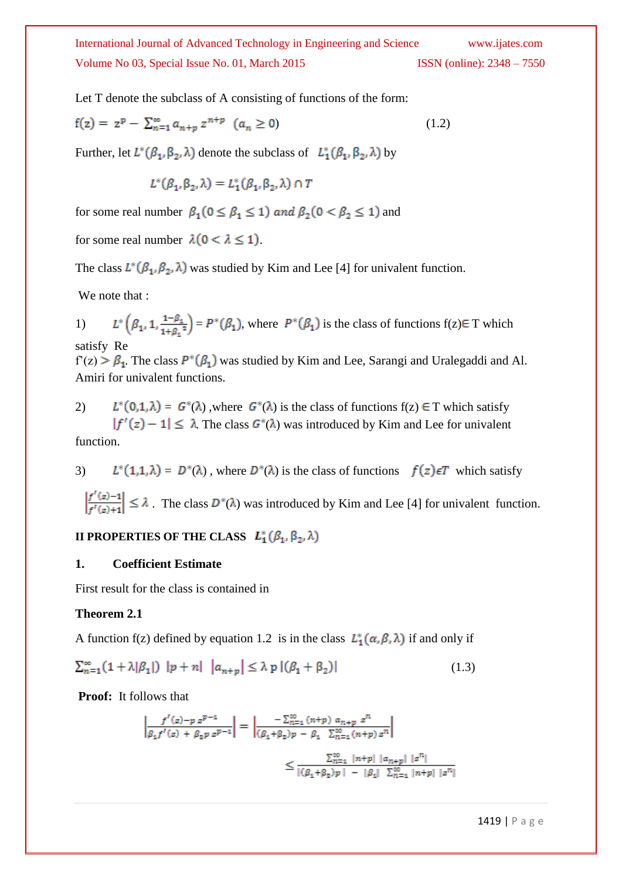Let T denote the subclass of A consisting of functions of the form:

$$
f(z) = z^{p} - \sum_{n=1}^{\infty} a_{n+p} z^{n+p} \quad (a_n \ge 0)
$$
 (1.2)

Further, let  $L^*(\beta_1, \beta_2, \lambda)$  denote the subclass of  $L_1^*(\beta_1, \beta_2, \lambda)$  by

$$
L^*(\beta_1, \beta_2, \lambda) = L_1^*(\beta_1, \beta_2, \lambda) \cap T
$$

for some real number  $\beta_1$  ( $0 \le \beta_1 \le 1$ ) and  $\beta_2$  ( $0 < \beta_2 \le 1$ ) and

for some real number  $\lambda(0 < \lambda \le 1)$ .

The class  $L^*(\beta_1, \beta_2, \lambda)$  was studied by Kim and Lee [4] for univalent function.

We note that :

1)  $L^*\left(\beta_1, 1, \frac{1-\beta_1}{1+\beta_1^2}\right) = P^*(\beta_1)$ , where  $P^*(\beta_1)$  is the class of functions  $f(z) \in T$  which satisfy Re

 $f'(z) > \beta_1$ . The class  $P^*(\beta_1)$  was studied by Kim and Lee, Sarangi and Uralegaddi and Al. Amiri for univalent functions.

2)  $L^*(0,1,\lambda) = G^*(\lambda)$ , where  $G^*(\lambda)$  is the class of functions  $f(z) \in T$  which satisfy  $|f'(z) - 1| \leq \lambda$ . The class  $G^*(\lambda)$  was introduced by Kim and Lee for univalent function.

3)  $L^*(1,1,\lambda) = D^*(\lambda)$ , where  $D^*(\lambda)$  is the class of functions  $f(z) \in T$  which satisfy

 $\left|\frac{f'(z)-1}{f'(z)+1}\right| \leq \lambda$ . The class  $D^*(\lambda)$  was introduced by Kim and Lee [4] for univalent function.

## **II PROPERTIES OF THE CLASS**  $L_1^*(\beta_1, \beta_2, \lambda)$

#### **1. Coefficient Estimate**

First result for the class is contained in

#### **Theorem 2.1**

A function f(z) defined by equation 1.2 is in the class  $L_1^*(\alpha, \beta, \lambda)$  if and only if

$$
\sum_{n=1}^{\infty} (1 + \lambda |\beta_1|) |p + n| |a_{n+p}| \leq \lambda p |(\beta_1 + \beta_2)| \tag{1.3}
$$

**Proof:** It follows that

$$
\left| \frac{f'(z) - p z^{p-1}}{\beta_1 f'(z) + \beta_2 p z^{p-1}} \right| = \left| \frac{-\sum_{n=1}^{\infty} (n+p) a_{n+p} z^n}{(\beta_1 + \beta_2) p - \beta_1 \sum_{n=1}^{\infty} (n+p) z^n} \right|
$$
  

$$
\leq \frac{\sum_{n=1}^{\infty} |n+p| |a_{n+p}| |z^n|}{|(\beta_1 + \beta_2) p| - |\beta_1| \sum_{n=1}^{\infty} |n+p| |z^n|}
$$

1419 | P a g e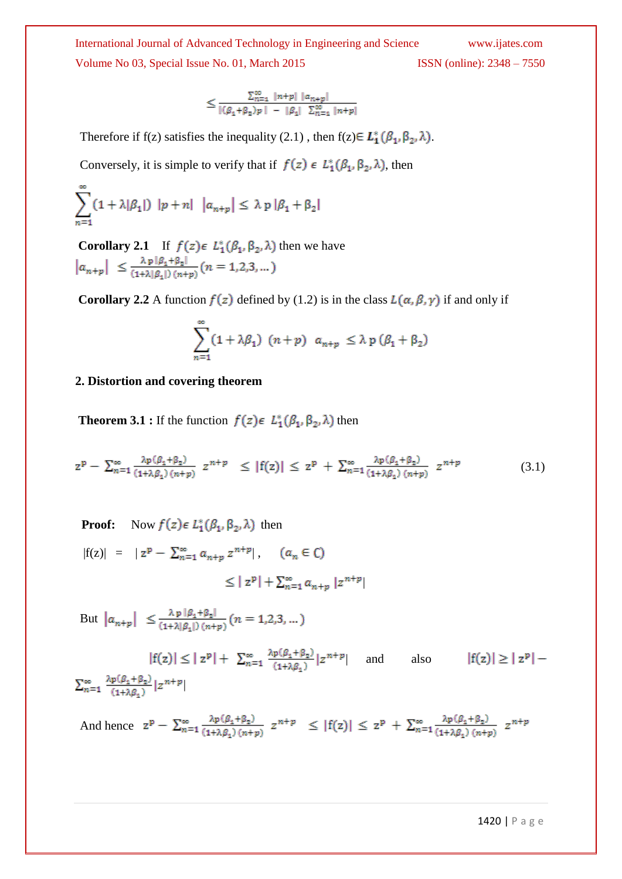$$
\leq \frac{\sum_{n=1}^{\infty} |n+p| |a_{n+p}|}{|( \beta_1 + \beta_2) p | - | \beta_1 |} \sum_{n=1}^{\infty} |n+p|
$$

Therefore if f(z) satisfies the inequality (2.1), then  $f(z) \in L_1^*(\beta_1, \beta_2, \lambda)$ .

Conversely, it is simple to verify that if  $f(z) \in L_1^*(\beta_1, \beta_2, \lambda)$ , then

$$
\sum_{n=1}^{\infty} (1 + \lambda |\beta_1|) |p + n| |a_{n+p}| \leq \lambda p |\beta_1 + \beta_2|
$$

**Corollary 2.1** If  $f(z) \in L_1^*(\beta_1, \beta_2, \lambda)$  then we have  $|a_{n+p}| \leq \frac{\lambda p |\beta_1 + \beta_2|}{(1+\lambda|\beta_1|)(n+p)} (n = 1, 2, 3, ...)$ 

**Corollary 2.2** A function  $f(z)$  defined by (1.2) is in the class  $L(\alpha, \beta, \gamma)$  if and only if

$$
\sum_{n=1}^{\infty} (1 + \lambda \beta_1) (n+p) a_{n+p} \leq \lambda p (\beta_1 + \beta_2)
$$

### **2. Distortion and covering theorem**

**Theorem 3.1 :** If the function  $f(z) \in L_1^*(\beta_1, \beta_2, \lambda)$  then

$$
z^{p} - \sum_{n=1}^{\infty} \frac{\lambda p(\beta_{1} + \beta_{2})}{(1 + \lambda \beta_{1})(n + p)} z^{n + p} \le |f(z)| \le z^{p} + \sum_{n=1}^{\infty} \frac{\lambda p(\beta_{1} + \beta_{2})}{(1 + \lambda \beta_{1})(n + p)} z^{n + p}
$$
(3.1)

**Proof:** Now  $f(z) \in L_1^*(\beta_1, \beta_2, \lambda)$  then  $|f(z)| = |z^p - \sum_{n=1}^{\infty} a_{n+p} z^{n+p}|, \quad (a_n \in \mathbb{C})$ 

$$
\leq |z^p| + \sum_{n=1}^{\infty} a_{n+p} |z^{n+p}|
$$

But  $|a_{n+p}| \leq \frac{\lambda p |\beta_1 + \beta_2|}{(1+\lambda|\beta_1|)(n+p)} (n = 1,2,3,...)$ 

 $|f(z)| \leq |z^p| + \sum_{n=1}^{\infty} \frac{\lambda p(\beta_1 + \beta_2)}{(1 + \lambda \beta_2)} |z^{n+p}|$  and also  $|f(z)| \ge |z^p|$  –  $\sum_{n=1}^{\infty} \frac{\lambda p(\beta_1 + \beta_2)}{(1 + \lambda \beta_1)} |z^{n+p}|$ |

And hence  $z^{p} - \sum_{n=1}^{\infty} \frac{\lambda p(\beta_1 + \beta_2)}{(1 + \lambda \beta_1)(n+p)} z^{n+p} \leq |f(z)| \leq z^{p} + \sum_{n=1}^{\infty} \frac{\lambda p(\beta_1 + \beta_2)}{(1 + \lambda \beta_1)(n+p)} z^{n+p}$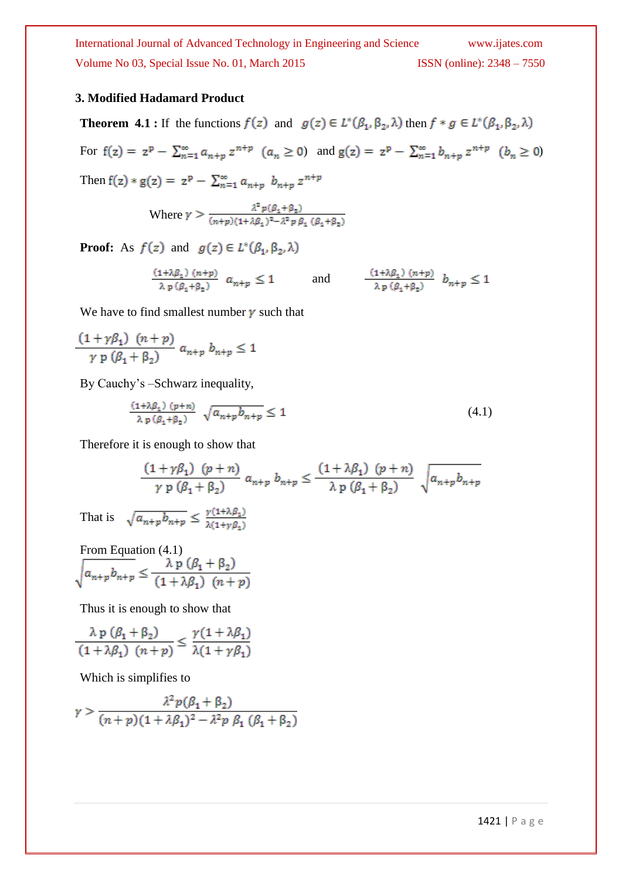## **3. Modified Hadamard Product**

**Theorem 4.1 :** If the functions  $f(z)$  and  $g(z) \in L^*(\beta_1, \beta_2, \lambda)$  then  $f * g \in L^*(\beta_1, \beta_2, \lambda)$ For  $f(z) = z^p - \sum_{n=1}^{\infty} a_{n+p} z^{n+p}$   $(a_n \ge 0)$  and  $g(z) = z^p - \sum_{n=1}^{\infty} b_{n+p} z^{n+p}$   $(b_n \ge 0)$ Then  $f(z) * g(z) = z^p - \sum_{n=1}^{\infty} a_{n+p} b_{n+p} z^{n+p}$ Where  $\gamma > \frac{\lambda^2 p(\beta_1 + \beta_2)}{(n+p)(1+\lambda\beta_1)^2 - \lambda^2 p \beta_1 (\beta_1 + \beta_2)}$ **Proof:** As  $f(z)$  and  $g(z) \in L^*(\beta_1, \beta_2, \lambda)$ 

 $\frac{(1+\lambda\beta_1)(n+p)}{\lambda p(\beta_1+\beta_2)} a_{n+p} \leq 1 \quad \text{and} \quad \frac{(1+\lambda\beta_1)(n+p)}{\lambda p(\beta_1+\beta_2)} b_{n+p} \leq 1$ 

We have to find smallest number  $\gamma$  such that

$$
\frac{(1+\gamma\beta_1)(n+p)}{\gamma p(\beta_1+\beta_2)} a_{n+p} b_{n+p} \le 1
$$

By Cauchy's –Schwarz inequality,

$$
\frac{(1+\lambda\beta_1)(p+n)}{\lambda p(\beta_1+\beta_2)} \sqrt{a_{n+p}b_{n+p}} \le 1
$$
\n(4.1)

Therefore it is enough to show that

$$
\frac{(1+\gamma\beta_1)(p+n)}{\gamma p(\beta_1+\beta_2)} a_{n+p} b_{n+p} \le \frac{(1+\lambda\beta_1)(p+n)}{\lambda p(\beta_1+\beta_2)} \sqrt{a_{n+p} b_{n+p}}
$$
  

$$
\sqrt{a_{n+p} b_{n+p}} \le \frac{\gamma(1+\lambda\beta_1)}{\lambda(1+\gamma\beta_1)}
$$

From Equation (4.1)<br>  $\sqrt{a_{n+p}b_{n+p}} \leq \frac{\lambda p (\beta_1 + \beta_2)}{(1 + \lambda \beta_1) (n+p)}$ 

Thus it is enough to show that

$$
\frac{\lambda p(\beta_1 + \beta_2)}{(1 + \lambda \beta_1) (n + p)} \le \frac{\gamma (1 + \lambda \beta_1)}{\lambda (1 + \gamma \beta_1)}
$$

Which is simplifies to

That is

$$
\gamma > \frac{\lambda^2 p(\beta_1 + \beta_2)}{(n+p)(1+\lambda\beta_1)^2 - \lambda^2 p \beta_1 (\beta_1 + \beta_2)}
$$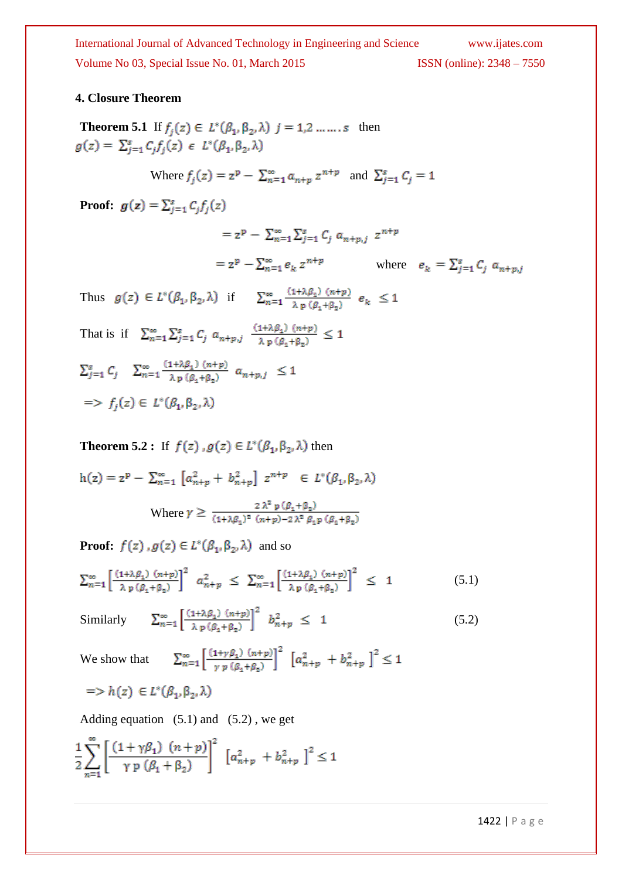## **4. Closure Theorem**

**Theorem 5.1** If  $f_j(z) \in L^*(\beta_1, \beta_2, \lambda)$   $j = 1, 2, \dots, s$  then  $g(z) = \sum_{j=1}^{s} C_j f_j(z) \in L^*(\beta_1, \beta_2, \lambda)$ 

Where 
$$
f_j(z) = z^p - \sum_{n=1}^{\infty} a_{n+p} z^{n+p}
$$
 and  $\sum_{j=1}^{s} C_j = 1$ 

**Proof:**  $g(z) = \sum_{j=1}^{s} C_j f_j(z)$ 

$$
= z^{p} - \sum_{n=1}^{\infty} \sum_{j=1}^{s} C_{j} a_{n+p,j} z^{n+p}
$$
  
=  $z^{p} - \sum_{n=1}^{\infty} e_{k} z^{n+p}$  where  $e_{k} = \sum_{j=1}^{s} C_{j} a_{n+p,j}$ 

Thus  $g(z) \in L^*(\beta_1, \beta_2, \lambda)$  if  $\sum_{n=1}^{\infty} \frac{(1+\lambda\beta_1)(n+p)}{\lambda p(\beta_1+\beta_2)} e_k \leq 1$ That is if  $\sum_{n=1}^{\infty} \sum_{j=1}^{s} C_j a_{n+p,j} \frac{(1+\lambda \beta_1) (n+p)}{\lambda p (\beta_1 + \beta_2)} \leq 1$  $\textstyle \sum_{j=1}^s \mathcal{C}_j - \sum_{n=1}^\infty \frac{(1+\lambda \beta_1) \ (\bar{n}+p)}{\lambda \ {\rm p} \ (\beta_+ + \beta_2)} \ a_{\bar{n}+p,\bar{j}} \ \leq 1$  $\Rightarrow$   $f_i(z) \in L^*(\beta_1, \beta_2, \lambda)$ 

**Theorem 5.2 :** If  $f(z)$ ,  $g(z) \in L^*(\beta_1, \beta_2, \lambda)$  then  $h(z) = z^p - \sum_{n=1}^{\infty} [a_{n+p}^2 + b_{n+p}^2] z^{n+p} \in L^*(\beta_1, \beta_2, \lambda)$ Where  $\gamma \geq \frac{2 \lambda^2 p(\beta_1 + \beta_2)}{(1 + \lambda \beta_1)^2 (n+p) - 2 \lambda^2 \beta_1 p(\beta_1 + \beta_2)}$ 

**Proof:**  $f(z)$ ,  $g(z) \in L^*(\beta_1, \beta_2, \lambda)$  and so

$$
\sum_{n=1}^{\infty} \left[ \frac{\left(1+\lambda\beta_1\right)(n+p)}{\lambda p \left(\beta_1+\beta_2\right)} \right]^2 a_{n+p}^2 \leq \sum_{n=1}^{\infty} \left[ \frac{\left(1+\lambda\beta_1\right)(n+p)}{\lambda p \left(\beta_1+\beta_2\right)} \right]^2 \leq 1 \tag{5.1}
$$

Similarly  $\sum_{n=1}^{\infty} \left[ \frac{(1+\lambda\beta_1)(n+p)}{\lambda_n(\beta_1+\beta_1)} \right]^2 b_{n+p}^2 \leq 1$  (5.2)

 $\sum_{n=1}^{\infty} \left[ \frac{(1+\gamma\beta_1)(n+p)}{\gamma p(\beta_1+\beta_2)} \right]^2 \left[ a_{n+p}^2 + b_{n+p}^2 \right]^2 \leq 1$ We show that

$$
\Rightarrow h(z) \in L^*(\beta_1, \beta_2, \lambda)
$$

Adding equation  $(5.1)$  and  $(5.2)$ , we get

$$
\frac{1}{2} \sum_{n=1}^{\infty} \left[ \frac{(1+\gamma\beta_1) (n+p)}{\gamma p (\beta_1 + \beta_2)} \right]^2 \left[ a_{n+p}^2 + b_{n+p}^2 \right]^2 \le 1
$$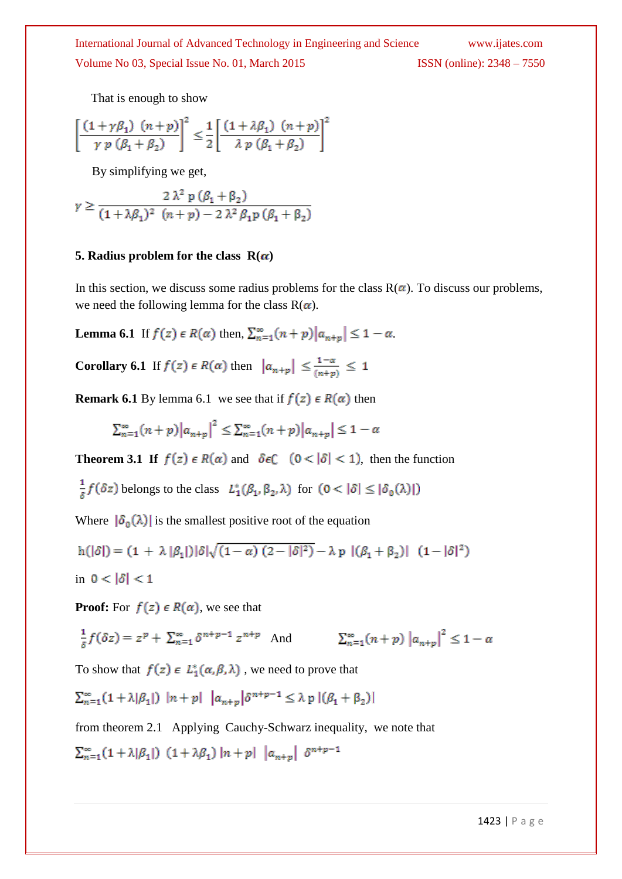That is enough to show

$$
\left[\frac{(1+\gamma\beta_1)(n+p)}{\gamma p(\beta_1+\beta_2)}\right]^2 \leq \frac{1}{2} \left[\frac{(1+\lambda\beta_1)(n+p)}{\lambda p(\beta_1+\beta_2)}\right]^2
$$

By simplifying we get,

$$
\gamma \ge \frac{2\lambda^2 p(\beta_1 + \beta_2)}{(1 + \lambda\beta_1)^2 (n + p) - 2\lambda^2 \beta_1 p(\beta_1 + \beta_2)}
$$

### **5. Radius problem for the class**  $R(\alpha)$

In this section, we discuss some radius problems for the class  $R(\alpha)$ . To discuss our problems, we need the following lemma for the class  $R(\alpha)$ .

**Lemma 6.1** If  $f(z) \in R(\alpha)$  then,  $\sum_{n=1}^{\infty} (n+p) |a_{n+p}| \leq 1 - \alpha$ .

**Corollary 6.1** If  $f(z) \in R(\alpha)$  then  $|a_{n+p}| \leq \frac{1-\alpha}{(n+p)} \leq 1$ 

**Remark 6.1** By lemma 6.1 we see that if  $f(z) \in R(\alpha)$  then

 $\sum_{n=1}^{\infty} (n+p) |a_{n+m}|^2 \leq \sum_{n=1}^{\infty} (n+p) |a_{n+m}| \leq 1-\alpha$ 

**Theorem 3.1 If**  $f(z) \in R(\alpha)$  and  $\delta \in C$   $(0 < |\delta| < 1)$ , then the function

 $\frac{1}{\delta} f(\delta z)$  belongs to the class  $L_1^*(\beta_1, \beta_2, \lambda)$  for  $(0 < |\delta| \leq |\delta_0(\lambda)|)$ 

Where  $|\delta_0(\lambda)|$  is the smallest positive root of the equation

$$
h(|\delta|) = (1 + \lambda |\beta_1|) |\delta| \sqrt{(1 - \alpha) (2 - |\delta|^2)} - \lambda p |(\beta_1 + \beta_2)| (1 - |\delta|^2)
$$
  
in  $0 < |\delta| < 1$ 

**Proof:** For  $f(z) \in R(\alpha)$ , we see that

$$
\frac{1}{\delta} f(\delta z) = z^p + \sum_{n=1}^{\infty} \delta^{n+p-1} z^{n+p} \quad \text{And} \quad \sum_{n=1}^{\infty} (n+p) |a_{n+p}|^2 \le 1 - \alpha
$$

To show that  $f(z) \in L_1^*(\alpha, \beta, \lambda)$ , we need to prove that

 $\sum_{n=1}^{\infty} (1 + \lambda |\beta_1|) \ |n+p| \ |a_{n+p}| \delta^{n+p-1} \leq \lambda \; \mathfrak{p} \; |(\beta_1 + \beta_2)|$ 

from theorem 2.1 Applying Cauchy-Schwarz inequality, we note that

 $\sum_{n=1}^{\infty} (1 + \lambda |\beta_1|) (1 + \lambda \beta_1) |n+p| |a_{n+p}| \delta^{n+p-1}$